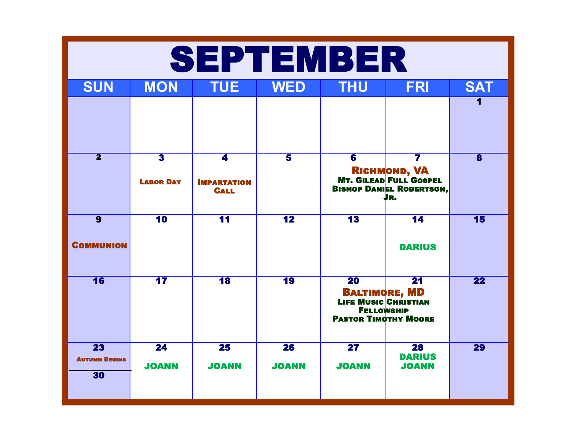| SEPTEMBER                                     |                                             |                                                              |                         |                                                                                                                                               |                                                                                                               |                         |  |
|-----------------------------------------------|---------------------------------------------|--------------------------------------------------------------|-------------------------|-----------------------------------------------------------------------------------------------------------------------------------------------|---------------------------------------------------------------------------------------------------------------|-------------------------|--|
| <b>SUN</b>                                    | <b>MON</b>                                  | <b>TUE</b>                                                   | <b>WED</b>              | <b>THU</b>                                                                                                                                    | <b>FRI</b>                                                                                                    | <b>SAT</b>              |  |
|                                               |                                             |                                                              |                         |                                                                                                                                               |                                                                                                               |                         |  |
| $\overline{\mathbf{2}}$                       | $\overline{\mathbf{3}}$<br><b>LABOR DAY</b> | $\overline{\mathbf{4}}$<br><b>IMPARTATION</b><br><b>CALL</b> | $\overline{\mathbf{5}}$ | $\overline{\mathbf{6}}$                                                                                                                       | $\overline{\mathbf{7}}$<br><b>RICHMOND, VA<br/>MT. GILEAD FULL GOSPEL<br/>BISHOP DANIEL ROBERTSON,</b><br>JR. | $\overline{\mathbf{8}}$ |  |
| $\overline{9}$<br><b>COMMUNION</b>            | 10                                          | $\overline{11}$                                              | $\overline{12}$         | $\overline{13}$                                                                                                                               | $\overline{14}$<br><b>DARIUS</b>                                                                              | 15                      |  |
| $\overline{16}$                               | $\overline{17}$                             | $\overline{18}$                                              | <b>19</b>               | $\overline{20}$<br>$\overline{21}$<br><b>BALTIMORE, MD</b><br><b>LIFE MUSIC CHRISTIAN</b><br><b>FELLOWSHIP</b><br><b>PASTOR TIMOTHY MOORE</b> |                                                                                                               | 22                      |  |
| $\overline{23}$<br><b>AUTUMN BEGINS</b><br>30 | $\overline{24}$<br><b>JOANN</b>             | 25<br><b>JOANN</b>                                           | 26<br><b>JOANN</b>      | $\overline{\mathbf{27}}$<br><b>JOANN</b>                                                                                                      | 28<br><b>DARIUS</b><br><b>JOANN</b>                                                                           | 29                      |  |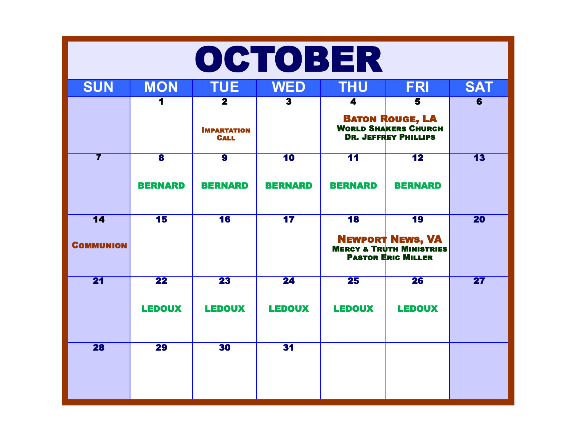| OCTOBER                             |                                           |                                                              |                                   |                                   |                                                                                                                 |                          |  |
|-------------------------------------|-------------------------------------------|--------------------------------------------------------------|-----------------------------------|-----------------------------------|-----------------------------------------------------------------------------------------------------------------|--------------------------|--|
| <b>SUN</b>                          | <b>MON</b>                                | <b>TUE</b>                                                   | <b>WED</b>                        | <b>THU</b>                        | <b>FRI</b>                                                                                                      | <b>SAT</b>               |  |
|                                     |                                           | $\overline{\mathbf{2}}$<br><b>IMPARTATION</b><br><b>CALL</b> | $\overline{\mathbf{3}}$           | 4                                 | $\overline{\mathbf{5}}$<br><b>BATON ROUGE, LA</b><br><b>WORLD SHAKERS CHURCH</b><br><b>DR. JEFFREY PHILLIPS</b> | $\overline{6}$           |  |
| $\overline{\mathbf{7}}$             | $\overline{\mathbf{8}}$<br><b>BERNARD</b> | $\overline{9}$<br><b>BERNARD</b>                             | $\overline{10}$<br><b>BERNARD</b> | $\overline{11}$<br><b>BERNARD</b> | $\overline{12}$<br><b>BERNARD</b>                                                                               | $\overline{13}$          |  |
| $\overline{14}$<br><b>COMMUNION</b> | 15                                        | 16                                                           | 17                                | 18                                | 19<br><b>NEWPORT NEWS, VA</b><br><b>MERCY &amp; TRUTH MINISTRIES</b><br><b>PASTOR ERIC MILLER</b>               | <b>20</b>                |  |
| $\overline{21}$                     | $\overline{22}$<br><b>LEDOUX</b>          | $\overline{23}$<br><b>LEDOUX</b>                             | $\overline{24}$<br><b>LEDOUX</b>  | $\overline{25}$<br><b>LEDOUX</b>  | $\overline{26}$<br><b>LEDOUX</b>                                                                                | $\overline{\mathbf{27}}$ |  |
| 28                                  | $\overline{29}$                           | 30                                                           | 31                                |                                   |                                                                                                                 |                          |  |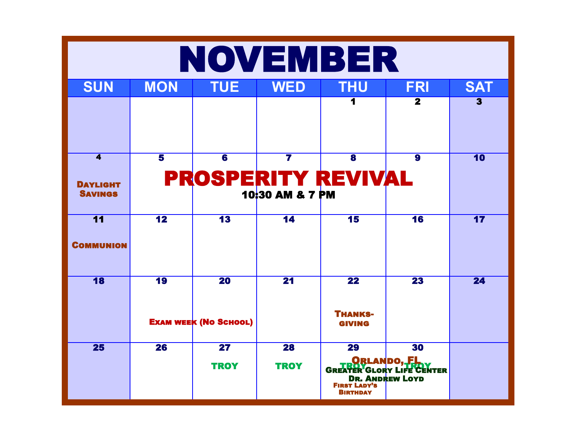